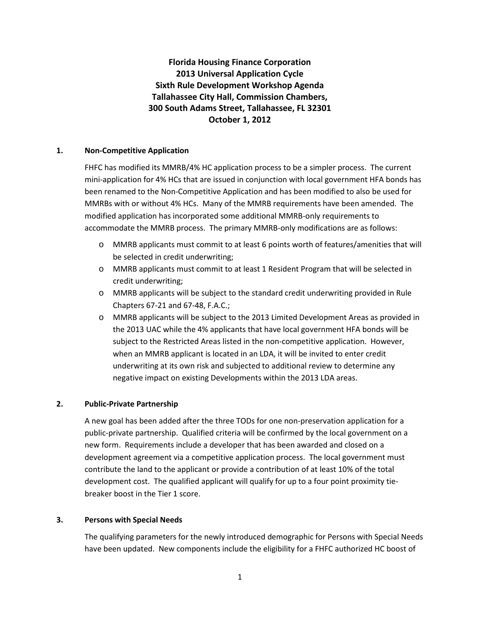**Florida Housing Finance Corporation 2013 Universal Application Cycle Sixth Rule Development Workshop Agenda Tallahassee City Hall, Commission Chambers, 300 South Adams Street, Tallahassee, FL 32301 October 1, 2012**

## **1. Non-Competitive Application**

FHFC has modified its MMRB/4% HC application process to be a simpler process. The current mini-application for 4% HCs that are issued in conjunction with local government HFA bonds has been renamed to the Non-Competitive Application and has been modified to also be used for MMRBs with or without 4% HCs. Many of the MMRB requirements have been amended. The modified application has incorporated some additional MMRB-only requirements to accommodate the MMRB process. The primary MMRB-only modifications are as follows:

- o MMRB applicants must commit to at least 6 points worth of features/amenities that will be selected in credit underwriting;
- o MMRB applicants must commit to at least 1 Resident Program that will be selected in credit underwriting;
- o MMRB applicants will be subject to the standard credit underwriting provided in Rule Chapters 67-21 and 67-48, F.A.C.;
- o MMRB applicants will be subject to the 2013 Limited Development Areas as provided in the 2013 UAC while the 4% applicants that have local government HFA bonds will be subject to the Restricted Areas listed in the non-competitive application. However, when an MMRB applicant is located in an LDA, it will be invited to enter credit underwriting at its own risk and subjected to additional review to determine any negative impact on existing Developments within the 2013 LDA areas.

## **2. Public-Private Partnership**

A new goal has been added after the three TODs for one non-preservation application for a public-private partnership. Qualified criteria will be confirmed by the local government on a new form. Requirements include a developer that has been awarded and closed on a development agreement via a competitive application process. The local government must contribute the land to the applicant or provide a contribution of at least 10% of the total development cost. The qualified applicant will qualify for up to a four point proximity tiebreaker boost in the Tier 1 score.

## **3. Persons with Special Needs**

The qualifying parameters for the newly introduced demographic for Persons with Special Needs have been updated. New components include the eligibility for a FHFC authorized HC boost of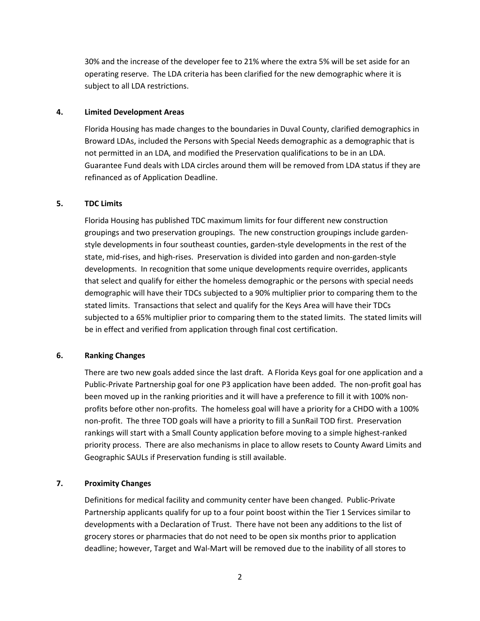30% and the increase of the developer fee to 21% where the extra 5% will be set aside for an operating reserve. The LDA criteria has been clarified for the new demographic where it is subject to all LDA restrictions.

#### **4. Limited Development Areas**

Florida Housing has made changes to the boundaries in Duval County, clarified demographics in Broward LDAs, included the Persons with Special Needs demographic as a demographic that is not permitted in an LDA, and modified the Preservation qualifications to be in an LDA. Guarantee Fund deals with LDA circles around them will be removed from LDA status if they are refinanced as of Application Deadline.

#### **5. TDC Limits**

Florida Housing has published TDC maximum limits for four different new construction groupings and two preservation groupings. The new construction groupings include gardenstyle developments in four southeast counties, garden-style developments in the rest of the state, mid-rises, and high-rises. Preservation is divided into garden and non-garden-style developments. In recognition that some unique developments require overrides, applicants that select and qualify for either the homeless demographic or the persons with special needs demographic will have their TDCs subjected to a 90% multiplier prior to comparing them to the stated limits. Transactions that select and qualify for the Keys Area will have their TDCs subjected to a 65% multiplier prior to comparing them to the stated limits. The stated limits will be in effect and verified from application through final cost certification.

## **6. Ranking Changes**

There are two new goals added since the last draft. A Florida Keys goal for one application and a Public-Private Partnership goal for one P3 application have been added. The non-profit goal has been moved up in the ranking priorities and it will have a preference to fill it with 100% nonprofits before other non-profits. The homeless goal will have a priority for a CHDO with a 100% non-profit. The three TOD goals will have a priority to fill a SunRail TOD first. Preservation rankings will start with a Small County application before moving to a simple highest-ranked priority process. There are also mechanisms in place to allow resets to County Award Limits and Geographic SAULs if Preservation funding is still available.

## **7. Proximity Changes**

Definitions for medical facility and community center have been changed. Public-Private Partnership applicants qualify for up to a four point boost within the Tier 1 Services similar to developments with a Declaration of Trust. There have not been any additions to the list of grocery stores or pharmacies that do not need to be open six months prior to application deadline; however, Target and Wal-Mart will be removed due to the inability of all stores to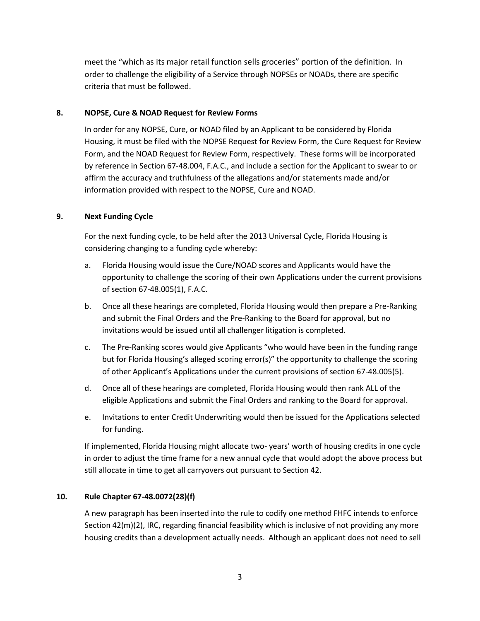meet the "which as its major retail function sells groceries" portion of the definition. In order to challenge the eligibility of a Service through NOPSEs or NOADs, there are specific criteria that must be followed.

## **8. NOPSE, Cure & NOAD Request for Review Forms**

In order for any NOPSE, Cure, or NOAD filed by an Applicant to be considered by Florida Housing, it must be filed with the NOPSE Request for Review Form, the Cure Request for Review Form, and the NOAD Request for Review Form, respectively. These forms will be incorporated by reference in Section 67-48.004, F.A.C., and include a section for the Applicant to swear to or affirm the accuracy and truthfulness of the allegations and/or statements made and/or information provided with respect to the NOPSE, Cure and NOAD.

# **9. Next Funding Cycle**

For the next funding cycle, to be held after the 2013 Universal Cycle, Florida Housing is considering changing to a funding cycle whereby:

- a. Florida Housing would issue the Cure/NOAD scores and Applicants would have the opportunity to challenge the scoring of their own Applications under the current provisions of section 67-48.005(1), F.A.C.
- b. Once all these hearings are completed, Florida Housing would then prepare a Pre-Ranking and submit the Final Orders and the Pre-Ranking to the Board for approval, but no invitations would be issued until all challenger litigation is completed.
- c. The Pre-Ranking scores would give Applicants "who would have been in the funding range but for Florida Housing's alleged scoring error(s)" the opportunity to challenge the scoring of other Applicant's Applications under the current provisions of section 67-48.005(5).
- d. Once all of these hearings are completed, Florida Housing would then rank ALL of the eligible Applications and submit the Final Orders and ranking to the Board for approval.
- e. Invitations to enter Credit Underwriting would then be issued for the Applications selected for funding.

If implemented, Florida Housing might allocate two- years' worth of housing credits in one cycle in order to adjust the time frame for a new annual cycle that would adopt the above process but still allocate in time to get all carryovers out pursuant to Section 42.

## **10. Rule Chapter 67-48.0072(28)(f)**

A new paragraph has been inserted into the rule to codify one method FHFC intends to enforce Section 42(m)(2), IRC, regarding financial feasibility which is inclusive of not providing any more housing credits than a development actually needs. Although an applicant does not need to sell